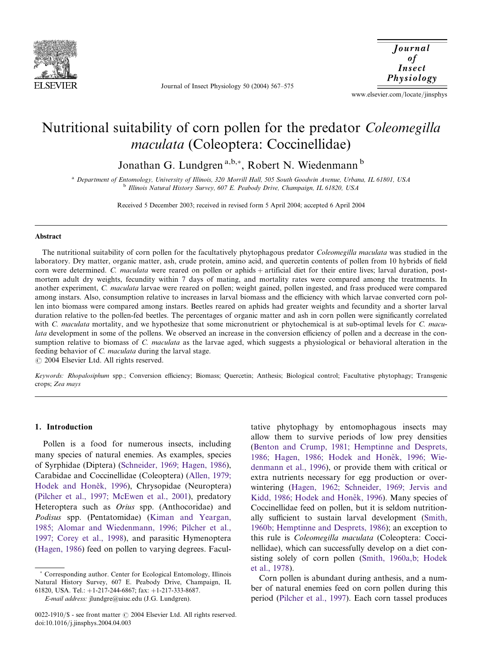

Journal of Insect Physiology 50 (2004) 567–575

*Iournal* o f *Insect* Physiology

www.elsevier.com/locate/jinsphys

# Nutritional suitability of corn pollen for the predator Coleomegilla maculata (Coleoptera: Coccinellidae)

Jonathan G. Lundgren <sup>a,b,\*</sup>, Robert N. Wiedenmann <sup>b</sup>

<sup>a</sup> Department of Entomology, University of Illinois, 320 Morrill Hall, 505 South Goodwin Avenue, Urbana, IL 61801, USA <sup>b</sup> Illinois Natural History Survey, 607 E. Peabody Drive, Champaign, IL 61820, USA

Received 5 December 2003; received in revised form 5 April 2004; accepted 6 April 2004

#### Abstract

The nutritional suitability of corn pollen for the facultatively phytophagous predator *Coleomegilla maculata* was studied in the laboratory. Dry matter, organic matter, ash, crude protein, amino acid, and quercetin contents of pollen from 10 hybrids of field corn were determined. C. maculata were reared on pollen or aphids + artificial diet for their entire lives; larval duration, postmortem adult dry weights, fecundity within 7 days of mating, and mortality rates were compared among the treatments. In another experiment, C. maculata larvae were reared on pollen; weight gained, pollen ingested, and frass produced were compared among instars. Also, consumption relative to increases in larval biomass and the efficiency with which larvae converted corn pollen into biomass were compared among instars. Beetles reared on aphids had greater weights and fecundity and a shorter larval duration relative to the pollen-fed beetles. The percentages of organic matter and ash in corn pollen were significantly correlated with C. maculata mortality, and we hypothesize that some micronutrient or phytochemical is at sub-optimal levels for C. maculata development in some of the pollens. We observed an increase in the conversion efficiency of pollen and a decrease in the consumption relative to biomass of C. maculata as the larvae aged, which suggests a physiological or behavioral alteration in the feeding behavior of C. maculata during the larval stage.

 $\odot$  2004 Elsevier Ltd. All rights reserved.

Keywords: Rhopalosiphum spp.; Conversion efficiency; Biomass; Quercetin; Anthesis; Biological control; Facultative phytophagy; Transgenic crops; Zea mays

# 1. Introduction

Pollen is a food for numerous insects, including many species of natural enemies. As examples, species of Syrphidae (Diptera) ([Schneider, 1969; Hagen, 1986\)](#page-8-0), Carabidae and Coccinellidae (Coleoptera) ([Allen, 1979;](#page-7-0) Hodek and Honěk, 1996), Chrysopidae (Neuroptera) ([Pilcher et al., 1997; McEwen et al., 2001](#page-8-0)), predatory Heteroptera such as Orius spp. (Anthocoridae) and Podisus spp. (Pentatomidae) [\(Kiman and Yeargan,](#page-8-0) [1985; Alomar and Wiedenmann, 1996; Pilcher et al.,](#page-8-0) [1997; Corey et al., 1998](#page-8-0)), and parasitic Hymenoptera ([Hagen, 1986\)](#page-7-0) feed on pollen to varying degrees. Facultative phytophagy by entomophagous insects may allow them to survive periods of low prey densities ([Benton and Crump, 1981; Hemptinne and Desprets,](#page-7-0) 1986; Hagen, 1986; Hodek and Honěk, 1996; Wie[denmann et al., 1996\)](#page-7-0), or provide them with critical or extra nutrients necessary for egg production or overwintering ([Hagen, 1962; Schneider, 1969; Jervis and](#page-7-0) Kidd, 1986; Hodek and Honěk, 1996). Many species of Coccinellidae feed on pollen, but it is seldom nutritionally sufficient to sustain larval development ([Smith,](#page-8-0) [1960b; Hemptinne and Desprets, 1986\)](#page-8-0); an exception to this rule is Coleomegilla maculata (Coleoptera: Coccinellidae), which can successfully develop on a diet consisting solely of corn pollen ([Smith, 1960a,b; Hodek](#page-8-0) [et al., 1978](#page-8-0)).

Corn pollen is abundant during anthesis, and a number of natural enemies feed on corn pollen during this period [\(Pilcher et al., 1997](#page-8-0)). Each corn tassel produces

Corresponding author. Center for Ecological Entomology, Illinois Natural History Survey, 607 E. Peabody Drive, Champaign, IL 61820, USA. Tel.: +1-217-244-6867; fax: +1-217-333-8687.

E-mail address: jlundgre@uiuc.edu (J.G. Lundgren).

<sup>0022-1910/\$ -</sup> see front matter © 2004 Elsevier Ltd. All rights reserved. doi:10.1016/j.jinsphys.2004.04.003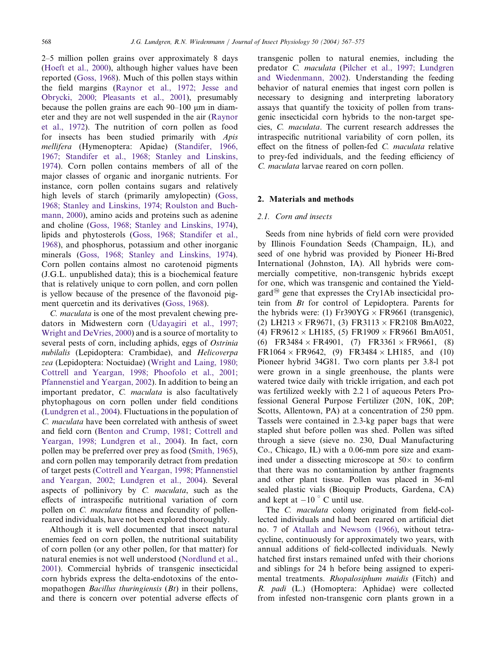2–5 million pollen grains over approximately 8 days ([Hoeft et al., 2000\)](#page-7-0), although higher values have been reported [\(Goss, 1968\)](#page-7-0). Much of this pollen stays within the field margins ([Raynor et al., 1972; Jesse and](#page-8-0) [Obrycki, 2000; Pleasants et al., 2001\)](#page-8-0), presumably because the pollen grains are each  $90-100 \mu m$  in diameter and they are not well suspended in the air [\(Raynor](#page-8-0) [et al., 1972\)](#page-8-0). The nutrition of corn pollen as food for insects has been studied primarily with Apis mellifera (Hymenoptera: Apidae) [\(Standifer, 1966,](#page-8-0) [1967; Standifer et al., 1968; Stanley and Linskins,](#page-8-0) [1974\)](#page-8-0). Corn pollen contains members of all of the major classes of organic and inorganic nutrients. For instance, corn pollen contains sugars and relatively high levels of starch (primarily amylopectin) ([Goss,](#page-7-0) [1968; Stanley and Linskins, 1974; Roulston and Buch](#page-7-0)[mann, 2000\)](#page-7-0), amino acids and proteins such as adenine and choline [\(Goss, 1968; Stanley and Linskins, 1974\)](#page-7-0), lipids and phytosterols [\(Goss, 1968; Standifer et al.,](#page-7-0) [1968\)](#page-7-0), and phosphorus, potassium and other inorganic minerals ([Goss, 1968; Stanley and Linskins, 1974\)](#page-7-0). Corn pollen contains almost no carotenoid pigments (J.G.L. unpublished data); this is a biochemical feature that is relatively unique to corn pollen, and corn pollen is yellow because of the presence of the flavonoid pigment quercetin and its derivatives [\(Goss, 1968](#page-7-0)).

C. maculata is one of the most prevalent chewing predators in Midwestern corn [\(Udayagiri et al., 1997;](#page-8-0) [Wright and DeVries, 2000](#page-8-0)) and is a source of mortality to several pests of corn, including aphids, eggs of Ostrinia nubilalis (Lepidoptera: Crambidae), and Helicoverpa zea (Lepidoptera: Noctuidae) ([Wright and Laing, 1980;](#page-8-0) [Cottrell and Yeargan, 1998; Phoofolo et al., 2001;](#page-8-0) [Pfannenstiel and Yeargan, 2002\)](#page-8-0). In addition to being an important predator, C. maculata is also facultatively phytophagous on corn pollen under field conditions ([Lundgren et al., 2004\)](#page-8-0). Fluctuations in the population of C. maculata have been correlated with anthesis of sweet and field corn ([Benton and Crump, 1981; Cottrell and](#page-7-0) [Yeargan, 1998; Lundgren et al., 2004\)](#page-7-0). In fact, corn pollen may be preferred over prey as food [\(Smith, 1965\)](#page-8-0), and corn pollen may temporarily detract from predation of target pests [\(Cottrell and Yeargan, 1998; Pfannenstiel](#page-7-0) [and Yeargan, 2002; Lundgren et al., 2004\)](#page-7-0). Several aspects of pollinivory by C. maculata, such as the effects of intraspecific nutritional variation of corn pollen on C. maculata fitness and fecundity of pollenreared individuals, have not been explored thoroughly.

Although it is well documented that insect natural enemies feed on corn pollen, the nutritional suitability of corn pollen (or any other pollen, for that matter) for natural enemies is not well understood [\(Nordlund et al.,](#page-8-0) [2001\)](#page-8-0). Commercial hybrids of transgenic insecticidal corn hybrids express the delta-endotoxins of the entomopathogen *Bacillus thuringiensis* (*Bt*) in their pollens, and there is concern over potential adverse effects of transgenic pollen to natural enemies, including the predator C. maculata [\(Pilcher et al., 1997; Lundgren](#page-8-0) [and Wiedenmann, 2002\)](#page-8-0). Understanding the feeding behavior of natural enemies that ingest corn pollen is necessary to designing and interpreting laboratory assays that quantify the toxicity of pollen from transgenic insecticidal corn hybrids to the non-target species, C. maculata. The current research addresses the intraspecific nutritional variability of corn pollen, its effect on the fitness of pollen-fed C. maculata relative to prey-fed individuals, and the feeding efficiency of C. maculata larvae reared on corn pollen.

# 2. Materials and methods

## 2.1. Corn and insects

Seeds from nine hybrids of field corn were provided by Illinois Foundation Seeds (Champaign, IL), and seed of one hybrid was provided by Pioneer Hi-Bred International (Johnston, IA). All hybrids were commercially competitive, non-transgenic hybrids except for one, which was transgenic and contained the Yield- $\text{card}^{\omega}$  gene that expresses the Cry1Ab insecticidal protein from Bt for control of Lepidoptera. Parents for the hybrids were: (1) Fr390YG  $\times$  FR9661 (transgenic), (2) LH213  $\times$  FR9671, (3) FR3113  $\times$  FR2108 BmA022, (4) FR9612  $\times$  LH185, (5) FR1909  $\times$  FR9661 BmA051, (6) FR3484  $\times$  FR4901, (7) FR3361  $\times$  FR9661, (8)  $FR1064 \times FR9642$ , (9)  $FR3484 \times LH185$ , and (10) Pioneer hybrid 34G81. Two corn plants per 3.8-l pot were grown in a single greenhouse, the plants were watered twice daily with trickle irrigation, and each pot was fertilized weekly with 2.2 l of aqueous Peters Professional General Purpose Fertilizer (20N, 10K, 20P; Scotts, Allentown, PA) at a concentration of 250 ppm. Tassels were contained in 2.3-kg paper bags that were stapled shut before pollen was shed. Pollen was sifted through a sieve (sieve no. 230, Dual Manufacturing Co., Chicago, IL) with a 0.06-mm pore size and examined under a dissecting microscope at  $50\times$  to confirm that there was no contamination by anther fragments and other plant tissue. Pollen was placed in 36-ml sealed plastic vials (Bioquip Products, Gardena, CA) and kept at  $-10$   $\degree$  C until use.

The *C. maculata* colony originated from field-collected individuals and had been reared on artificial diet no. 7 of [Atallah and Newsom \(1966\),](#page-7-0) without tetracycline, continuously for approximately two years, with annual additions of field-collected individuals. Newly hatched first instars remained unfed with their chorions and siblings for 24 h before being assigned to experimental treatments. Rhopalosiphum maidis (Fitch) and R. padi (L.) (Homoptera: Aphidae) were collected from infested non-transgenic corn plants grown in a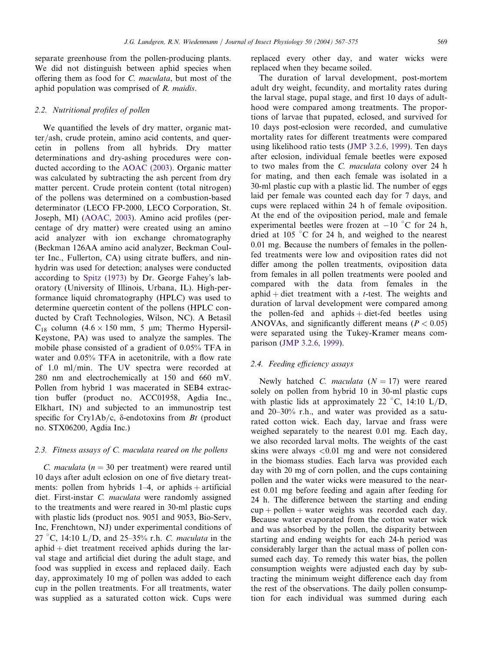separate greenhouse from the pollen-producing plants. We did not distinguish between aphid species when offering them as food for C. maculata, but most of the aphid population was comprised of R. maidis.

# 2.2. Nutritional profiles of pollen

We quantified the levels of dry matter, organic matter/ash, crude protein, amino acid contents, and quercetin in pollens from all hybrids. Dry matter determinations and dry-ashing procedures were conducted according to the [AOAC \(2003\).](#page-7-0) Organic matter was calculated by subtracting the ash percent from dry matter percent. Crude protein content (total nitrogen) of the pollens was determined on a combustion-based determinator (LECO FP-2000, LECO Corporation, St. Joseph, MI) [\(AOAC, 2003](#page-7-0)). Amino acid profiles (percentage of dry matter) were created using an amino acid analyzer with ion exchange chromatography (Beckman 126AA amino acid analyzer, Beckman Coulter Inc., Fullerton, CA) using citrate buffers, and ninhydrin was used for detection; analyses were conducted according to [Spitz \(1973\)](#page-8-0) by Dr. George Fahey's laboratory (University of Illinois, Urbana, IL). High-performance liquid chromatography (HPLC) was used to determine quercetin content of the pollens (HPLC conducted by Craft Technologies, Wilson, NC). A Betasil  $C_{18}$  column (4.6  $\times$  150 mm, 5 µm; Thermo Hypersil-Keystone, PA) was used to analyze the samples. The mobile phase consisted of a gradient of 0.05% TFA in water and 0.05% TFA in acetonitrile, with a flow rate of 1.0 ml/min. The UV spectra were recorded at 280 nm and electrochemically at 150 and 660 mV. Pollen from hybrid 1 was macerated in SEB4 extraction buffer (product no. ACC01958, Agdia Inc., Elkhart, IN) and subjected to an immunostrip test specific for Cry1Ab/c,  $\delta$ -endotoxins from Bt (product no. STX06200, Agdia Inc.)

# 2.3. Fitness assays of C. maculata reared on the pollens

C. maculata ( $n = 30$  per treatment) were reared until 10 days after adult eclosion on one of five dietary treatments: pollen from hybrids  $1-4$ , or aphids  $+$  artificial diet. First-instar C. maculata were randomly assigned to the treatments and were reared in 30-ml plastic cups with plastic lids (product nos. 9051 and 9053, Bio-Serv, Inc, Frenchtown, NJ) under experimental conditions of 27 °C, 14:10 L/D, and 25–35% r.h. C. maculata in the aphid  $+$  diet treatment received aphids during the larval stage and artificial diet during the adult stage, and food was supplied in excess and replaced daily. Each day, approximately 10 mg of pollen was added to each cup in the pollen treatments. For all treatments, water was supplied as a saturated cotton wick. Cups were replaced every other day, and water wicks were replaced when they became soiled.

The duration of larval development, post-mortem adult dry weight, fecundity, and mortality rates during the larval stage, pupal stage, and first 10 days of adulthood were compared among treatments. The proportions of larvae that pupated, eclosed, and survived for 10 days post-eclosion were recorded, and cumulative mortality rates for different treatments were compared using likelihood ratio tests [\(JMP 3.2.6, 1999](#page-8-0)). Ten days after eclosion, individual female beetles were exposed to two males from the C. maculata colony over 24 h for mating, and then each female was isolated in a 30-ml plastic cup with a plastic lid. The number of eggs laid per female was counted each day for 7 days, and cups were replaced within 24 h of female oviposition. At the end of the oviposition period, male and female experimental beetles were frozen at  $-10$  °C for 24 h, dried at 105  $\degree$ C for 24 h, and weighed to the nearest 0.01 mg. Because the numbers of females in the pollenfed treatments were low and oviposition rates did not differ among the pollen treatments, oviposition data from females in all pollen treatments were pooled and compared with the data from females in the aphid  $+$  diet treatment with a *t*-test. The weights and duration of larval development were compared among the pollen-fed and aphids  $+$  diet-fed beetles using ANOVAs, and significantly different means ( $P < 0.05$ ) were separated using the Tukey-Kramer means comparison ([JMP 3.2.6, 1999](#page-8-0)).

# 2.4. Feeding efficiency assays

Newly hatched C. maculata  $(N = 17)$  were reared solely on pollen from hybrid 10 in 30-ml plastic cups with plastic lids at approximately 22  $\degree$ C, 14:10 L/D, and 20–30% r.h., and water was provided as a saturated cotton wick. Each day, larvae and frass were weighed separately to the nearest 0.01 mg. Each day, we also recorded larval molts. The weights of the cast skins were always  $\leq 0.01$  mg and were not considered in the biomass studies. Each larva was provided each day with 20 mg of corn pollen, and the cups containing pollen and the water wicks were measured to the nearest 0.01 mg before feeding and again after feeding for 24 h. The difference between the starting and ending  $cup +$  pollen + water weights was recorded each day. Because water evaporated from the cotton water wick and was absorbed by the pollen, the disparity between starting and ending weights for each 24-h period was considerably larger than the actual mass of pollen consumed each day. To remedy this water bias, the pollen consumption weights were adjusted each day by subtracting the minimum weight difference each day from the rest of the observations. The daily pollen consumption for each individual was summed during each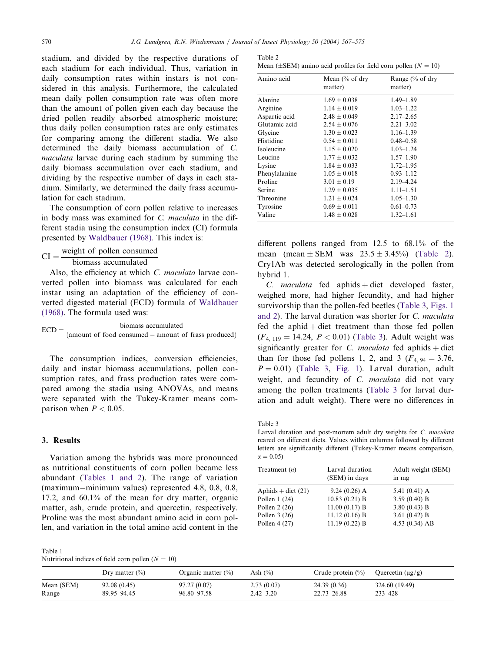stadium, and divided by the respective durations of each stadium for each individual. Thus, variation in daily consumption rates within instars is not considered in this analysis. Furthermore, the calculated mean daily pollen consumption rate was often more than the amount of pollen given each day because the dried pollen readily absorbed atmospheric moisture; thus daily pollen consumption rates are only estimates for comparing among the different stadia. We also determined the daily biomass accumulation of C. maculata larvae during each stadium by summing the daily biomass accumulation over each stadium, and dividing by the respective number of days in each stadium. Similarly, we determined the daily frass accumulation for each stadium.

The consumption of corn pollen relative to increases in body mass was examined for C. maculata in the different stadia using the consumption index (CI) formula presented by [Waldbauer \(1968\).](#page-8-0) This index is:

# $CI = \frac{weight \space of \space pollen \space consumed}{right \space }$

biomass accumulated

Also, the efficiency at which C. maculata larvae converted pollen into biomass was calculated for each instar using an adaptation of the efficiency of converted digested material (ECD) formula of [Waldbauer](#page-8-0) [\(1968\)](#page-8-0). The formula used was:

$$
ECD = \frac{\text{biomass accumulated}}{(\text{amount of food consumed} - \text{amount of f} \times \text{produced})}
$$

The consumption indices, conversion efficiencies, daily and instar biomass accumulations, pollen consumption rates, and frass production rates were compared among the stadia using ANOVAs, and means were separated with the Tukey-Kramer means comparison when  $P < 0.05$ .

# 3. Results

Variation among the hybrids was more pronounced as nutritional constituents of corn pollen became less abundant (Tables 1 and 2). The range of variation  $(maximum-minimum$  values) represented 4.8, 0.8, 0.8, 17.2, and 60.1% of the mean for dry matter, organic matter, ash, crude protein, and quercetin, respectively. Proline was the most abundant amino acid in corn pollen, and variation in the total amino acid content in the

Table 1 Nutritional indices of field corn pollen  $(N = 10)$ 

| Table 2                                                                  |  |  |
|--------------------------------------------------------------------------|--|--|
| Mean ( $\pm$ SEM) amino acid profiles for field corn pollen ( $N = 10$ ) |  |  |

| Amino acid    | Mean $\frac{6}{6}$ of dry<br>matter) | Range $\frac{0}{0}$ of dry<br>matter) |
|---------------|--------------------------------------|---------------------------------------|
| Alanine       | $1.69 \pm 0.038$                     | $1.49 - 1.89$                         |
| Arginine      | $1.14 \pm 0.019$                     | $1.03 - 1.22$                         |
| Aspartic acid | $2.48 \pm 0.049$                     | $2.17 - 2.65$                         |
| Glutamic acid | $2.54 \pm 0.076$                     | $2.21 - 3.02$                         |
| Glycine       | $1.30 \pm 0.023$                     | $1.16 - 1.39$                         |
| Histidine     | $0.54 + 0.011$                       | $0.48 - 0.58$                         |
| Isoleucine    | $1.15 \pm 0.020$                     | $1.03 - 1.24$                         |
| Leucine       | $1.77 \pm 0.032$                     | $1.57 - 1.90$                         |
| Lysine        | $1.84 \pm 0.033$                     | $1.72 - 1.95$                         |
| Phenylalanine | $1.05 \pm 0.018$                     | $0.93 - 1.12$                         |
| Proline       | $3.01 \pm 0.19$                      | $2.19 - 4.24$                         |
| Serine        | $1.29 \pm 0.035$                     | $1.11 - 1.51$                         |
| Threonine     | $1.21 + 0.024$                       | $1.05 - 1.30$                         |
| Tyrosine      | $0.69 \pm 0.011$                     | $0.61 - 0.73$                         |
| Valine        | $1.48 \pm 0.028$                     | $1.32 - 1.61$                         |

different pollens ranged from 12.5 to 68.1% of the mean (mean  $\pm$  SEM was  $23.5 \pm 3.45\%$ ) (Table 2). Cry1Ab was detected serologically in the pollen from hybrid 1.

C. *maculata* fed aphids  $\theta$  diet developed faster, weighed more, had higher fecundity, and had higher survivorship than the pollen-fed beetles (Table 3, [Figs. 1](#page-4-0) [and 2\)](#page-4-0). The larval duration was shorter for C. maculata fed the aphid  $+$  diet treatment than those fed pollen  $(F_{4, 119} = 14.24, P < 0.01)$  (Table 3). Adult weight was significantly greater for C. maculata fed aphids  $+$  diet than for those fed pollens 1, 2, and 3 ( $F_{4, 94} = 3.76$ ,  $P = 0.01$ ) (Table 3, [Fig. 1\)](#page-4-0). Larval duration, adult weight, and fecundity of C. maculata did not vary among the pollen treatments (Table 3 for larval duration and adult weight). There were no differences in

Table 3

Larval duration and post-mortem adult dry weights for C. maculata reared on different diets. Values within columns followed by different letters are significantly different (Tukey-Kramer means comparison,  $\alpha = 0.05$ 

| Treatment $(n)$      | Larval duration<br>(SEM) in days | Adult weight (SEM)<br>in mg |  |
|----------------------|----------------------------------|-----------------------------|--|
| Aphids $+$ diet (21) | $9.24(0.26)$ A                   | 5.41 $(0.41)$ A             |  |
| Pollen $1(24)$       | $10.83(0.21)$ B                  | $3.59(0.40)$ B              |  |
| Pollen $2(26)$       | $11.00(0.17)$ B                  | 3.80(0.43) B                |  |
| Pollen $3(26)$       | $11.12(0.16)$ B                  | 3.61 $(0.42)$ B             |  |
| Pollen $4(27)$       | 11.19(0.22) B                    | 4.53 (0.34) AB              |  |

|            | Dry matter $(\% )$ | Organic matter $(\%)$ | Ash $(\%)$    | Crude protein $(\% )$ | Quercetin $(\mu g/g)$ |
|------------|--------------------|-----------------------|---------------|-----------------------|-----------------------|
| Mean (SEM) | 92.08 (0.45)       | 97.27(0.07)           | 2.73(0.07)    | 24.39 (0.36)          | 324.60 (19.49)        |
| Range      | 89.95–94.45        | 96.80–97.58           | $2.42 - 3.20$ | 22.73-26.88           | 233-428               |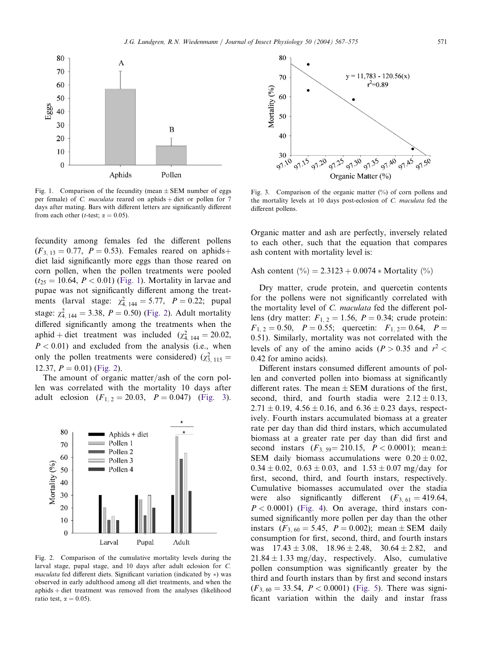<span id="page-4-0"></span>

Fig. 1. Comparison of the fecundity (mean  $\pm$  SEM number of eggs per female) of *C. maculata* reared on aphids  $+$  diet or pollen for 7 days after mating. Bars with different letters are significantly different from each other (*t*-test;  $\alpha = 0.05$ ).

fecundity among females fed the different pollens  $(F_{3, 13} = 0.77, P = 0.53)$ . Females reared on aphids+ diet laid significantly more eggs than those reared on corn pollen, when the pollen treatments were pooled  $(t_{25} = 10.64, P < 0.01)$  (Fig. 1). Mortality in larvae and pupae was not significantly different among the treatments (larval stage:  $\chi^2_{4, 144} = 5.77$ ,  $P = 0.22$ ; pupal stage:  $\chi^2_{4, 144} = 3.38, P = 0.50$  (Fig. 2). Adult mortality differed significantly among the treatments when the aphid + diet treatment was included  $(\chi^2_{4, 144} = 20.02,$  $P < 0.01$ ) and excluded from the analysis (i.e., when only the pollen treatments were considered) ( $\chi^2_{3, 115}$  = 12.37,  $P = 0.01$ ) (Fig. 2).

The amount of organic matter/ash of the corn pollen was correlated with the mortality 10 days after adult eclosion  $(F_{1, 2} = 20.03, P = 0.047)$  (Fig. 3).



Fig. 2. Comparison of the cumulative mortality levels during the larval stage, pupal stage, and 10 days after adult eclosion for C. *maculata* fed different diets. Significant variation (indicated by  $*$ ) was observed in early adulthood among all diet treatments, and when the aphids  $+$  diet treatment was removed from the analyses (likelihood ratio test,  $\alpha = 0.05$ ).



Fig. 3. Comparison of the organic matter (%) of corn pollens and the mortality levels at 10 days post-eclosion of C. maculata fed the different pollens.

Organic matter and ash are perfectly, inversely related to each other, such that the equation that compares ash content with mortality level is:

Ash content  $\binom{0}{0}$  = 2.3123 + 0.0074  $*$  Mortality  $\binom{0}{0}$ 

Dry matter, crude protein, and quercetin contents for the pollens were not significantly correlated with the mortality level of C. maculata fed the different pollens (dry matter:  $F_{1,2} = 1.56$ ,  $P = 0.34$ ; crude protein:  $F_{1, 2} = 0.50$ ,  $P = 0.55$ ; quercetin:  $F_{1, 2} = 0.64$ ,  $P =$ 0:51). Similarly, mortality was not correlated with the levels of any of the amino acids ( $P > 0.35$  and  $r<sup>2</sup>$ 0:42 for amino acids).

Different instars consumed different amounts of pollen and converted pollen into biomass at significantly different rates. The mean  $\pm$  SEM durations of the first, second, third, and fourth stadia were  $2.12 \pm 0.13$ ,  $2.71 \pm 0.19$ ,  $4.56 \pm 0.16$ , and  $6.36 \pm 0.23$  days, respectively. Fourth instars accumulated biomass at a greater rate per day than did third instars, which accumulated biomass at a greater rate per day than did first and second instars  $(F_{3, 59} = 210.15, P < 0.0001)$ ; mean $\pm$ SEM daily biomass accumulations were  $0.20 \pm 0.02$ ,  $0.34 \pm 0.02$ ,  $0.63 \pm 0.03$ , and  $1.53 \pm 0.07$  mg/day for first, second, third, and fourth instars, respectively. Cumulative biomasses accumulated over the stadia were also significantly different  $(F_{3, 61} = 419.64,$  $P < 0.0001$ ) ([Fig. 4](#page-5-0)). On average, third instars consumed significantly more pollen per day than the other instars  $(F_{3, 60} = 5.45, P = 0.002)$ ; mean  $\pm$  SEM daily consumption for first, second, third, and fourth instars was  $17.43 \pm 3.08$ ,  $18.96 \pm 2.48$ ,  $30.64 \pm 2.82$ , and  $21.84 \pm 1.33$  mg/day, respectively. Also, cumulative pollen consumption was significantly greater by the third and fourth instars than by first and second instars  $(F_{3, 60} = 33.54, P < 0.0001)$  ([Fig. 5](#page-5-0)). There was significant variation within the daily and instar frass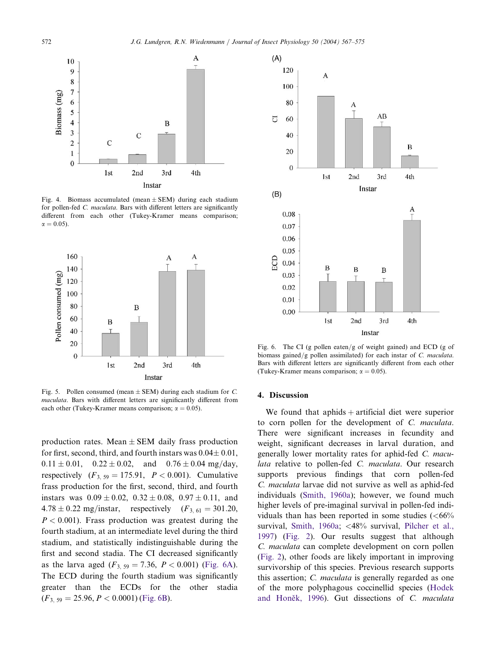<span id="page-5-0"></span>

Fig. 4. Biomass accumulated (mean  $\pm$  SEM) during each stadium for pollen-fed C. maculata. Bars with different letters are significantly different from each other (Tukey-Kramer means comparison;  $\alpha = 0.05$ ).



Fig. 5. Pollen consumed (mean  $\pm$  SEM) during each stadium for C. maculata. Bars with different letters are significantly different from each other (Tukey-Kramer means comparison;  $\alpha = 0.05$ ).

production rates. Mean  $\pm$  SEM daily frass production for first, second, third, and fourth instars was  $0.04 \pm 0.01$ ,  $0.11 \pm 0.01$ ,  $0.22 \pm 0.02$ , and  $0.76 \pm 0.04$  mg/day, respectively  $(F_{3, 59} = 175.91, P < 0.001)$ . Cumulative frass production for the first, second, third, and fourth instars was  $0.09 \pm 0.02$ ,  $0.32 \pm 0.08$ ,  $0.97 \pm 0.11$ , and  $4.78 \pm 0.22$  mg/instar, respectively  $(F_{3, 61} = 301.20,$  $P < 0.001$ ). Frass production was greatest during the fourth stadium, at an intermediate level during the third stadium, and statistically indistinguishable during the first and second stadia. The CI decreased significantly as the larva aged  $(F_3, 59 = 7.36, P < 0.001)$  (Fig. 6A). The ECD during the fourth stadium was significantly greater than the ECDs for the other stadia  $(F_{3, 59} = 25.96, P < 0.0001)$  (Fig. 6B).



Fig. 6. The CI (g pollen eaten/g of weight gained) and ECD (g of biomass gained/g pollen assimilated) for each instar of C. maculata. Bars with different letters are significantly different from each other (Tukey-Kramer means comparison;  $\alpha = 0.05$ ).

#### 4. Discussion

We found that aphids  $+$  artificial diet were superior to corn pollen for the development of C. maculata. There were significant increases in fecundity and weight, significant decreases in larval duration, and generally lower mortality rates for aphid-fed C. maculata relative to pollen-fed C. maculata. Our research supports previous findings that corn pollen-fed C. maculata larvae did not survive as well as aphid-fed individuals ([Smith, 1960a\)](#page-8-0); however, we found much higher levels of pre-imaginal survival in pollen-fed individuals than has been reported in some studies  $(<66\%$ survival, [Smith, 1960a;](#page-8-0) <48% survival, [Pilcher et al.,](#page-8-0) [1997\)](#page-8-0) ([Fig. 2\)](#page-4-0). Our results suggest that although C. maculata can complete development on corn pollen ([Fig. 2\)](#page-4-0), other foods are likely important in improving survivorship of this species. Previous research supports this assertion; C. maculata is generally regarded as one of the more polyphagous coccinellid species ([Hodek](#page-7-0) and Honěk, 1996). Gut dissections of C. maculata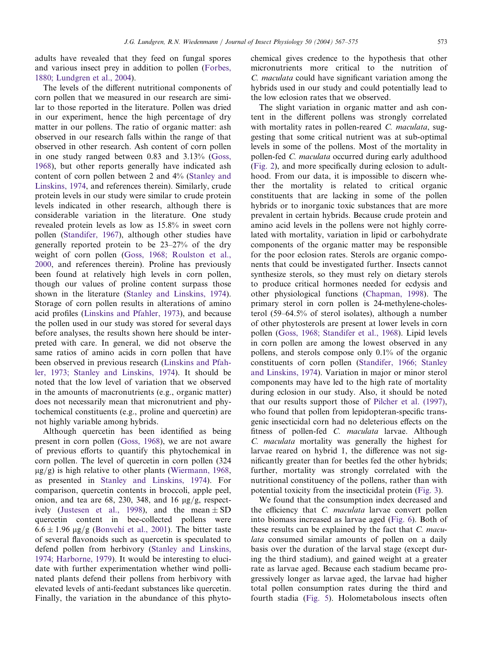adults have revealed that they feed on fungal spores and various insect prey in addition to pollen [\(Forbes,](#page-7-0) [1880; Lundgren et al., 2004\)](#page-7-0).

The levels of the different nutritional components of corn pollen that we measured in our research are similar to those reported in the literature. Pollen was dried in our experiment, hence the high percentage of dry matter in our pollens. The ratio of organic matter: ash observed in our research falls within the range of that observed in other research. Ash content of corn pollen in one study ranged between 0.83 and 3.13% [\(Goss,](#page-7-0) [1968](#page-7-0)), but other reports generally have indicated ash content of corn pollen between 2 and 4% ([Stanley and](#page-8-0) [Linskins, 1974,](#page-8-0) and references therein). Similarly, crude protein levels in our study were similar to crude protein levels indicated in other research, although there is considerable variation in the literature. One study revealed protein levels as low as 15.8% in sweet corn pollen [\(Standifer, 1967\)](#page-8-0), although other studies have generally reported protein to be 23–27% of the dry weight of corn pollen [\(Goss, 1968; Roulston et al.,](#page-7-0) [2000](#page-7-0), and references therein). Proline has previously been found at relatively high levels in corn pollen, though our values of proline content surpass those shown in the literature [\(Stanley and Linskins, 1974\)](#page-8-0). Storage of corn pollen results in alterations of amino acid profiles [\(Linskins and Pfahler, 1973](#page-8-0)), and because the pollen used in our study was stored for several days before analyses, the results shown here should be interpreted with care. In general, we did not observe the same ratios of amino acids in corn pollen that have been observed in previous research ([Linskins and Pfah](#page-8-0)[ler, 1973; Stanley and Linskins, 1974](#page-8-0)). It should be noted that the low level of variation that we observed in the amounts of macronutrients (e.g., organic matter) does not necessarily mean that micronutrient and phytochemical constituents (e.g., proline and quercetin) are not highly variable among hybrids.

Although quercetin has been identified as being present in corn pollen ([Goss, 1968\)](#page-7-0), we are not aware of previous efforts to quantify this phytochemical in corn pollen. The level of quercetin in corn pollen (324  $\mu$ g/g) is high relative to other plants ([Wiermann, 1968,](#page-8-0) as presented in [Stanley and Linskins, 1974\)](#page-8-0). For comparison, quercetin contents in broccoli, apple peel, onion, and tea are 68, 230, 348, and 16  $\mu$ g/g, respect-ively ([Justesen et al., 1998](#page-8-0)), and the mean  $\pm$  SD quercetin content in bee-collected pollens were  $6.6 \pm 1.96$  µg/g (Bonvehi<sup>[et al., 2001](#page-7-0)). The bitter taste</sup> of several flavonoids such as quercetin is speculated to defend pollen from herbivory [\(Stanley and Linskins,](#page-8-0) [1974; Harborne, 1979](#page-8-0)). It would be interesting to elucidate with further experimentation whether wind pollinated plants defend their pollens from herbivory with elevated levels of anti-feedant substances like quercetin. Finally, the variation in the abundance of this phytochemical gives credence to the hypothesis that other micronutrients more critical to the nutrition of C. maculata could have significant variation among the hybrids used in our study and could potentially lead to the low eclosion rates that we observed.

The slight variation in organic matter and ash content in the different pollens was strongly correlated with mortality rates in pollen-reared C. maculata, suggesting that some critical nutrient was at sub-optimal levels in some of the pollens. Most of the mortality in pollen-fed C. maculata occurred during early adulthood ([Fig. 2](#page-4-0)), and more specifically during eclosion to adulthood. From our data, it is impossible to discern whether the mortality is related to critical organic constituents that are lacking in some of the pollen hybrids or to inorganic toxic substances that are more prevalent in certain hybrids. Because crude protein and amino acid levels in the pollens were not highly correlated with mortality, variation in lipid or carbohydrate components of the organic matter may be responsible for the poor eclosion rates. Sterols are organic components that could be investigated further. Insects cannot synthesize sterols, so they must rely on dietary sterols to produce critical hormones needed for ecdysis and other physiological functions [\(Chapman, 1998\)](#page-7-0). The primary sterol in corn pollen is 24-methylene-cholesterol (59–64.5% of sterol isolates), although a number of other phytosterols are present at lower levels in corn pollen ([Goss, 1968; Standifer et al., 1968\)](#page-7-0). Lipid levels in corn pollen are among the lowest observed in any pollens, and sterols compose only 0.1% of the organic constituents of corn pollen [\(Standifer, 1966; Stanley](#page-8-0) [and Linskins, 1974\)](#page-8-0). Variation in major or minor sterol components may have led to the high rate of mortality during eclosion in our study. Also, it should be noted that our results support those of [Pilcher et al. \(1997\),](#page-8-0) who found that pollen from lepidopteran-specific transgenic insecticidal corn had no deleterious effects on the fitness of pollen-fed C. maculata larvae. Although C. maculata mortality was generally the highest for larvae reared on hybrid 1, the difference was not significantly greater than for beetles fed the other hybrids; further, mortality was strongly correlated with the nutritional constituency of the pollens, rather than with potential toxicity from the insecticidal protein ([Fig. 3\)](#page-4-0).

We found that the consumption index decreased and the efficiency that C. maculata larvae convert pollen into biomass increased as larvae aged [\(Fig. 6\)](#page-5-0). Both of these results can be explained by the fact that C. maculata consumed similar amounts of pollen on a daily basis over the duration of the larval stage (except during the third stadium), and gained weight at a greater rate as larvae aged. Because each stadium became progressively longer as larvae aged, the larvae had higher total pollen consumption rates during the third and fourth stadia ([Fig. 5](#page-5-0)). Holometabolous insects often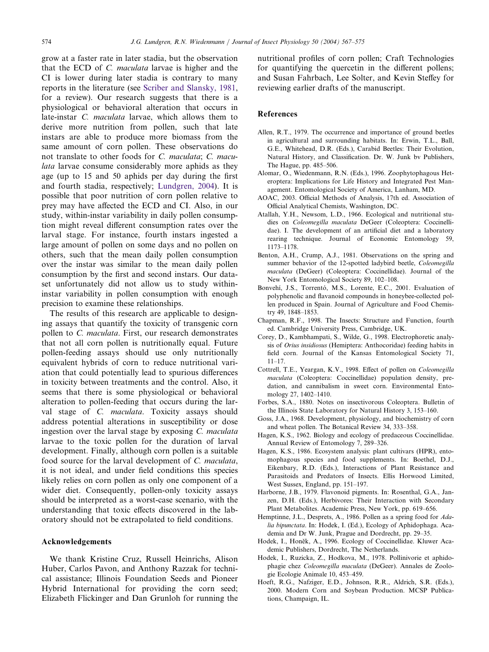<span id="page-7-0"></span>grow at a faster rate in later stadia, but the observation that the ECD of C. maculata larvae is higher and the CI is lower during later stadia is contrary to many reports in the literature (see [Scriber and Slansky, 1981](#page-8-0), for a review). Our research suggests that there is a physiological or behavioral alteration that occurs in late-instar C. maculata larvae, which allows them to derive more nutrition from pollen, such that late instars are able to produce more biomass from the same amount of corn pollen. These observations do not translate to other foods for C. maculata; C. maculata larvae consume considerably more aphids as they age (up to 15 and 50 aphids per day during the first and fourth stadia, respectively; [Lundgren, 2004\)](#page-8-0). It is possible that poor nutrition of corn pollen relative to prey may have affected the ECD and CI. Also, in our study, within-instar variability in daily pollen consumption might reveal different consumption rates over the larval stage. For instance, fourth instars ingested a large amount of pollen on some days and no pollen on others, such that the mean daily pollen consumption over the instar was similar to the mean daily pollen consumption by the first and second instars. Our dataset unfortunately did not allow us to study withininstar variability in pollen consumption with enough precision to examine these relationships.

The results of this research are applicable to designing assays that quantify the toxicity of transgenic corn pollen to C. maculata. First, our research demonstrates that not all corn pollen is nutritionally equal. Future pollen-feeding assays should use only nutritionally equivalent hybrids of corn to reduce nutritional variation that could potentially lead to spurious differences in toxicity between treatments and the control. Also, it seems that there is some physiological or behavioral alteration to pollen-feeding that occurs during the larval stage of C. maculata. Toxicity assays should address potential alterations in susceptibility or dose ingestion over the larval stage by exposing C. maculata larvae to the toxic pollen for the duration of larval development. Finally, although corn pollen is a suitable food source for the larval development of C. maculata, it is not ideal, and under field conditions this species likely relies on corn pollen as only one component of a wider diet. Consequently, pollen-only toxicity assays should be interpreted as a worst-case scenario, with the understanding that toxic effects discovered in the laboratory should not be extrapolated to field conditions.

# Acknowledgements

We thank Kristine Cruz, Russell Heinrichs, Alison Huber, Carlos Pavon, and Anthony Razzak for technical assistance; Illinois Foundation Seeds and Pioneer Hybrid International for providing the corn seed; Elizabeth Flickinger and Dan Grunloh for running the nutritional profiles of corn pollen; Craft Technologies for quantifying the quercetin in the different pollens; and Susan Fahrbach, Lee Solter, and Kevin Steffey for reviewing earlier drafts of the manuscript.

# References

- Allen, R.T., 1979. The occurrence and importance of ground beetles in agricultural and surrounding habitats. In: Erwin, T.L., Ball, G.E., Whitehead, D.R. (Eds.), Carabid Beetles: Their Evolution, Natural History, and Classification. Dr. W. Junk bv Publishers, The Hague, pp. 485–506.
- Alomar, O., Wiedenmann, R.N. (Eds.), 1996. Zoophytophagous Heteroptera: Implications for Life History and Integrated Pest Management. Entomological Society of America, Lanham, MD.
- AOAC, 2003. Official Methods of Analysis, 17th ed. Association of Official Analytical Chemists, Washington, DC.
- Atallah, Y.H., Newsom, L.D., 1966. Ecological and nutritional studies on Coleomegilla maculata DeGeer (Coleoptera: Coccinellidae). I. The development of an artificial diet and a laboratory rearing technique. Journal of Economic Entomology 59, 1173–1178.
- Benton, A.H., Crump, A.J., 1981. Observations on the spring and summer behavior of the 12-spotted ladybird beetle, Coleomegilla maculata (DeGeer) (Coleoptera: Coccinellidae). Journal of the New York Entomological Society 89, 102–108.
- Bonvehí, J.S., Torrentó, M.S., Lorente, E.C., 2001. Evaluation of polyphenolic and flavanoid compounds in honeybee-collected pollen produced in Spain. Journal of Agriculture and Food Chemistry 49, 1848–1853.
- Chapman, R.F., 1998. The Insects: Structure and Function, fourth ed. Cambridge University Press, Cambridge, UK.
- Corey, D., Kambhampati, S., Wilde, G., 1998. Electrophoretic analysis of Orius insidiosus (Hemiptera: Anthocoridae) feeding habits in field corn. Journal of the Kansas Entomological Society 71, 11–17.
- Cottrell, T.E., Yeargan, K.V., 1998. Effect of pollen on Coleomegilla maculata (Coleoptera: Coccinellidae) population density, predation, and cannibalism in sweet corn. Environmental Entomology 27, 1402–1410.
- Forbes, S.A., 1880. Notes on insectivorous Coleoptera. Bulletin of the Illinois State Laboratory for Natural History 3, 153–160.
- Goss, J.A., 1968. Development, physiology, and biochemistry of corn and wheat pollen. The Botanical Review 34, 333–358.
- Hagen, K.S., 1962. Biology and ecology of predaceous Coccinellidae. Annual Review of Entomology 7, 289–326.
- Hagen, K.S., 1986. Ecosystem analysis: plant cultivars (HPR), entomophagous species and food supplements. In: Boethel, D.J., Eikenbary, R.D. (Eds.), Interactions of Plant Resistance and Parasitoids and Predators of Insects. Ellis Horwood Limited, West Sussex, England, pp. 151–197.
- Harborne, J.B., 1979. Flavonoid pigments. In: Rosenthal, G.A., Janzen, D.H. (Eds.), Herbivores: Their Interaction with Secondary Plant Metabolites. Academic Press, New York, pp. 619–656.
- Hemptinne, J.L., Desprets, A., 1986. Pollen as a spring food for Adalia bipunctata. In: Hodek, I. (Ed.), Ecology of Aphidophaga. Academia and Dr W. Junk, Prague and Dordrecht, pp. 29–35.
- Hodek, I., Honěk, A., 1996. Ecology of Coccinellidae. Kluwer Academic Publishers, Dordrecht, The Netherlands.
- Hodek, I., Ruzicka, Z., Hodkova, M., 1978. Pollinivorie et aphidophagie chez Coleomegilla maculata (DeGeer). Annales de Zoologie Ecologie Animale 10, 453–459.
- Hoeft, R.G., Nafziger, E.D., Johnson, R.R., Aldrich, S.R. (Eds.), 2000. Modern Corn and Soybean Production. MCSP Publications, Champaign, IL.